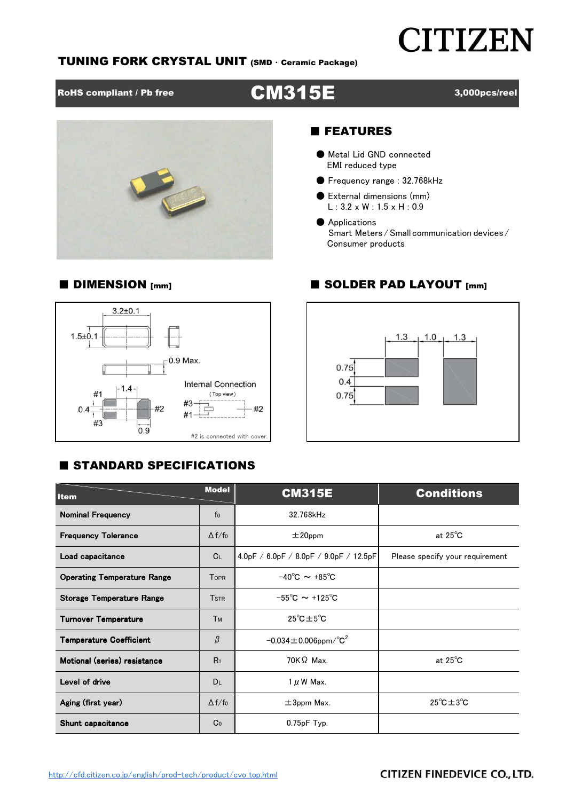## **CITIZEN**

#### TUNING FORK CRYSTAL UNIT (SMD ・ Ceramic Package)



#### 3,000pcs/reel



#### ■ FEATURES

- Metal Lid GND connected EMI reduced type
- Frequency range : 32.768kHz
- External dimensions (mm)  $L: 3.2 \times W: 1.5 \times H: 0.9$
- Applications Smart Meters/Small communication devices/ Consumer products

#### $3.2 + 0.1$  $1.5 + 0.1$ 0.9 Max. **Internal Connection**  $-1.4 #1$ (Top view)  $#3$  $#2$  $#2$  $0.4$ 륵 #1  $#3$  $0.9$ #2 is connected with cover.

#### ■ DIMENSION [mm] ■ SOLDER PAD LAYOUT [mm]



### ■ STANDARD SPECIFICATIONS

| <b>Item</b>                        | <b>Model</b>   | <b>CM315E</b>                            | <b>Conditions</b>                |  |  |  |
|------------------------------------|----------------|------------------------------------------|----------------------------------|--|--|--|
| <b>Nominal Frequency</b>           | f <sub>0</sub> | 32.768kHz                                |                                  |  |  |  |
| <b>Frequency Tolerance</b>         | $\Delta f/f_0$ | $±20$ ppm                                | at $25^{\circ}$ C                |  |  |  |
| Load capacitance                   | C <sub>L</sub> | $4.0pF / 6.0pF / 8.0pF / 9.0pF / 12.5pF$ | Please specify your requirement  |  |  |  |
| <b>Operating Temperature Range</b> | <b>TOPR</b>    | $-40^{\circ}$ C $\sim +85^{\circ}$ C     |                                  |  |  |  |
| <b>Storage Temperature Range</b>   | <b>TSTR</b>    | $-55^{\circ}$ C ~ +125 <sup>°</sup> C    |                                  |  |  |  |
| <b>Turnover Temperature</b>        | <b>Тм</b>      | $25^{\circ}$ C $\pm 5^{\circ}$ C         |                                  |  |  |  |
| <b>Temperature Coefficient</b>     | $\beta$        | $-0.034 \pm 0.006$ ppm/°C <sup>2</sup>   |                                  |  |  |  |
| Motional (series) resistance       | R <sub>1</sub> | $70K\Omega$ Max.                         | at $25^{\circ}$ C                |  |  |  |
| Level of drive                     | <b>DL</b>      | $1 \mu$ W Max.                           |                                  |  |  |  |
| Aging (first year)                 | $\Delta f/f_0$ | $\pm 3$ ppm Max.                         | $25^{\circ}$ C $\pm 3^{\circ}$ C |  |  |  |
| Shunt capacitance                  | Co             | 0.75pF Typ.                              |                                  |  |  |  |